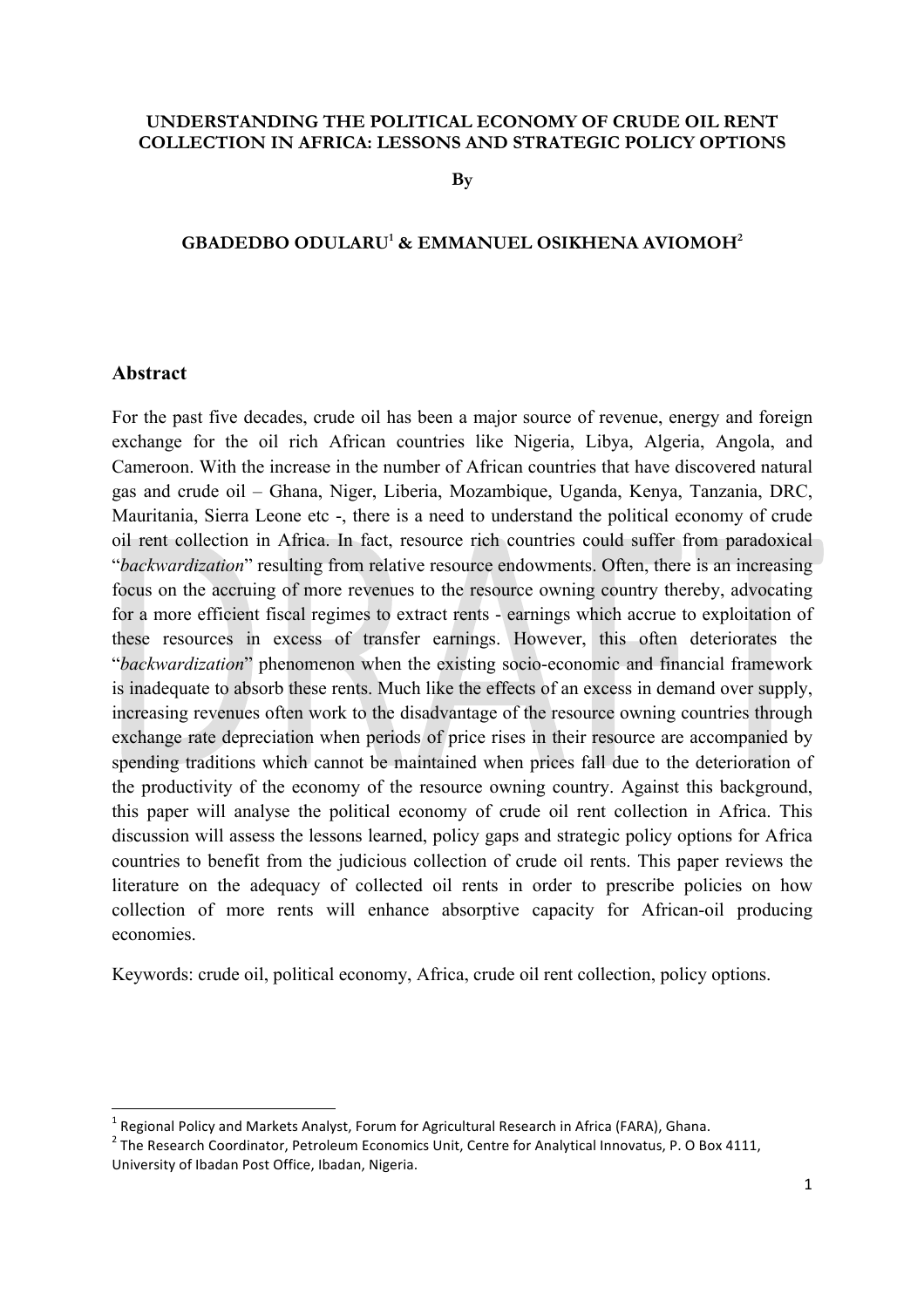#### **UNDERSTANDING THE POLITICAL ECONOMY OF CRUDE OIL RENT COLLECTION IN AFRICA: LESSONS AND STRATEGIC POLICY OPTIONS**

**By** 

## **GBADEDBO ODULARU1 & EMMANUEL OSIKHENA AVIOMOH2**

#### **Abstract**

For the past five decades, crude oil has been a major source of revenue, energy and foreign exchange for the oil rich African countries like Nigeria, Libya, Algeria, Angola, and Cameroon. With the increase in the number of African countries that have discovered natural gas and crude oil – Ghana, Niger, Liberia, Mozambique, Uganda, Kenya, Tanzania, DRC, Mauritania, Sierra Leone etc -, there is a need to understand the political economy of crude oil rent collection in Africa. In fact, resource rich countries could suffer from paradoxical "*backwardization*" resulting from relative resource endowments. Often, there is an increasing focus on the accruing of more revenues to the resource owning country thereby, advocating for a more efficient fiscal regimes to extract rents - earnings which accrue to exploitation of these resources in excess of transfer earnings. However, this often deteriorates the "*backwardization*" phenomenon when the existing socio-economic and financial framework is inadequate to absorb these rents. Much like the effects of an excess in demand over supply, increasing revenues often work to the disadvantage of the resource owning countries through exchange rate depreciation when periods of price rises in their resource are accompanied by spending traditions which cannot be maintained when prices fall due to the deterioration of the productivity of the economy of the resource owning country. Against this background, this paper will analyse the political economy of crude oil rent collection in Africa. This discussion will assess the lessons learned, policy gaps and strategic policy options for Africa countries to benefit from the judicious collection of crude oil rents. This paper reviews the literature on the adequacy of collected oil rents in order to prescribe policies on how collection of more rents will enhance absorptive capacity for African-oil producing economies.

Keywords: crude oil, political economy, Africa, crude oil rent collection, policy options.

<u> 1989 - Jan Samuel Barbara, margaret e</u>

 $^1$  Regional Policy and Markets Analyst, Forum for Agricultural Research in Africa (FARA), Ghana.

 $2$  The Research Coordinator, Petroleum Economics Unit, Centre for Analytical Innovatus, P. O Box 4111, University of Ibadan Post Office, Ibadan, Nigeria.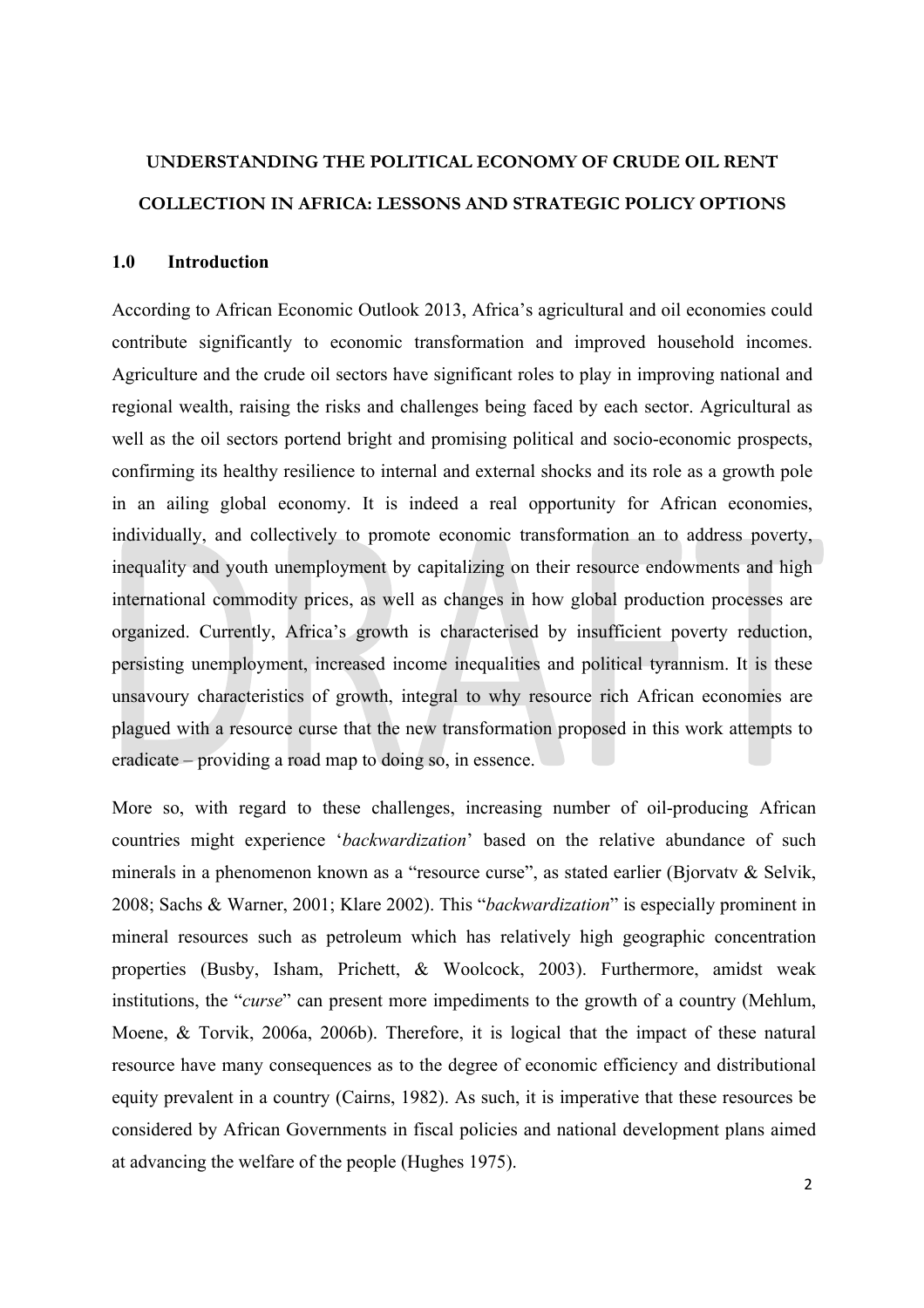# **UNDERSTANDING THE POLITICAL ECONOMY OF CRUDE OIL RENT COLLECTION IN AFRICA: LESSONS AND STRATEGIC POLICY OPTIONS**

#### **1.0 Introduction**

According to African Economic Outlook 2013, Africa's agricultural and oil economies could contribute significantly to economic transformation and improved household incomes. Agriculture and the crude oil sectors have significant roles to play in improving national and regional wealth, raising the risks and challenges being faced by each sector. Agricultural as well as the oil sectors portend bright and promising political and socio-economic prospects, confirming its healthy resilience to internal and external shocks and its role as a growth pole in an ailing global economy. It is indeed a real opportunity for African economies, individually, and collectively to promote economic transformation an to address poverty, inequality and youth unemployment by capitalizing on their resource endowments and high international commodity prices, as well as changes in how global production processes are organized. Currently, Africa's growth is characterised by insufficient poverty reduction, persisting unemployment, increased income inequalities and political tyrannism. It is these unsavoury characteristics of growth, integral to why resource rich African economies are plagued with a resource curse that the new transformation proposed in this work attempts to eradicate – providing a road map to doing so, in essence.

More so, with regard to these challenges, increasing number of oil-producing African countries might experience '*backwardization*' based on the relative abundance of such minerals in a phenomenon known as a "resource curse", as stated earlier (Bjorvatv & Selvik, 2008; Sachs & Warner, 2001; Klare 2002). This "*backwardization*" is especially prominent in mineral resources such as petroleum which has relatively high geographic concentration properties (Busby, Isham, Prichett, & Woolcock, 2003). Furthermore, amidst weak institutions, the "*curse*" can present more impediments to the growth of a country (Mehlum, Moene, & Torvik, 2006a, 2006b). Therefore, it is logical that the impact of these natural resource have many consequences as to the degree of economic efficiency and distributional equity prevalent in a country (Cairns, 1982). As such, it is imperative that these resources be considered by African Governments in fiscal policies and national development plans aimed at advancing the welfare of the people (Hughes 1975).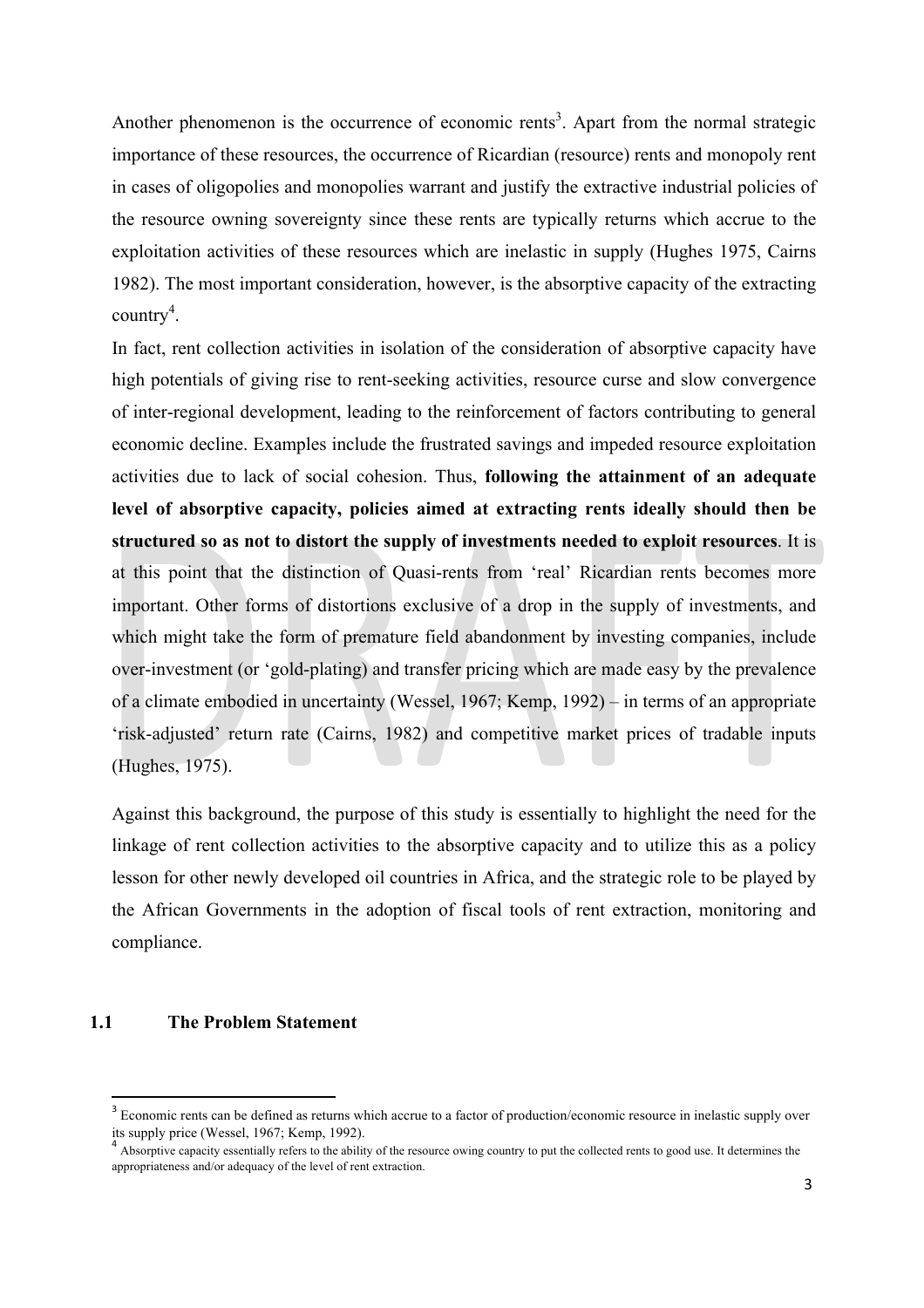Another phenomenon is the occurrence of economic rents<sup>3</sup>. Apart from the normal strategic importance of these resources, the occurrence of Ricardian (resource) rents and monopoly rent in cases of oligopolies and monopolies warrant and justify the extractive industrial policies of the resource owning sovereignty since these rents are typically returns which accrue to the exploitation activities of these resources which are inelastic in supply (Hughes 1975, Cairns 1982). The most important consideration, however, is the absorptive capacity of the extracting country 4 .

In fact, rent collection activities in isolation of the consideration of absorptive capacity have high potentials of giving rise to rent-seeking activities, resource curse and slow convergence of inter-regional development, leading to the reinforcement of factors contributing to general economic decline. Examples include the frustrated savings and impeded resource exploitation activities due to lack of social cohesion. Thus, **following the attainment of an adequate level of absorptive capacity, policies aimed at extracting rents ideally should then be structured so as not to distort the supply of investments needed to exploit resources**. It is at this point that the distinction of Quasi-rents from 'real' Ricardian rents becomes more important. Other forms of distortions exclusive of a drop in the supply of investments, and which might take the form of premature field abandonment by investing companies, include over-investment (or 'gold-plating) and transfer pricing which are made easy by the prevalence of a climate embodied in uncertainty (Wessel, 1967; Kemp, 1992) – in terms of an appropriate 'risk-adjusted' return rate (Cairns, 1982) and competitive market prices of tradable inputs (Hughes, 1975).

Against this background, the purpose of this study is essentially to highlight the need for the linkage of rent collection activities to the absorptive capacity and to utilize this as a policy lesson for other newly developed oil countries in Africa, and the strategic role to be played by the African Governments in the adoption of fiscal tools of rent extraction, monitoring and compliance.

### **1.1 The Problem Statement**

<u> 1989 - Jan Samuel Barbara, margaret e</u>

<sup>&</sup>lt;sup>3</sup> Economic rents can be defined as returns which accrue to a factor of production/economic resource in inelastic supply over its supply price (Wessel, 1967; Kemp, 1992).

Absorptive capacity essentially refers to the ability of the resource owing country to put the collected rents to good use. It determines the appropriateness and/or adequacy of the level of rent extraction.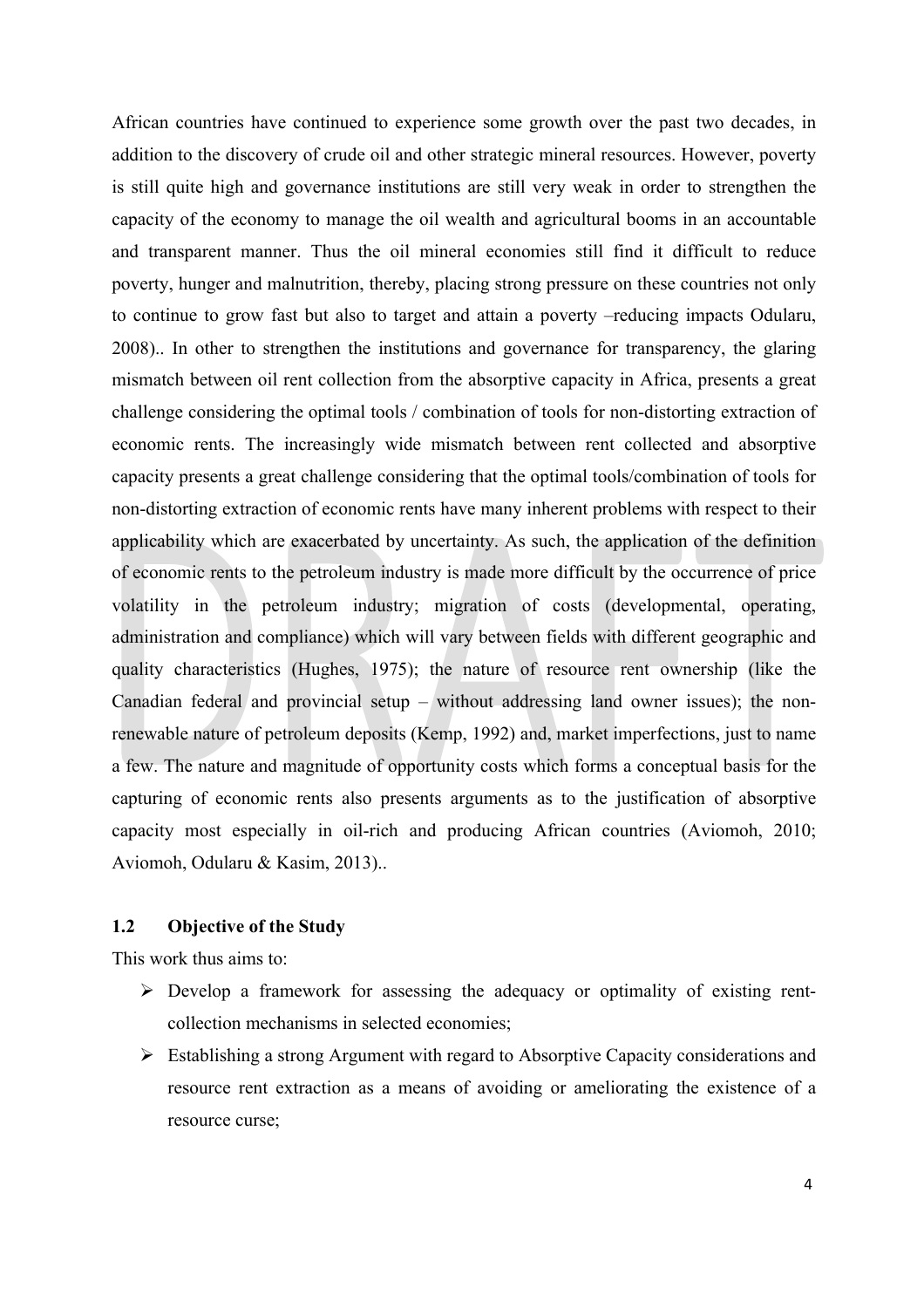African countries have continued to experience some growth over the past two decades, in addition to the discovery of crude oil and other strategic mineral resources. However, poverty is still quite high and governance institutions are still very weak in order to strengthen the capacity of the economy to manage the oil wealth and agricultural booms in an accountable and transparent manner. Thus the oil mineral economies still find it difficult to reduce poverty, hunger and malnutrition, thereby, placing strong pressure on these countries not only to continue to grow fast but also to target and attain a poverty –reducing impacts Odularu, 2008).. In other to strengthen the institutions and governance for transparency, the glaring mismatch between oil rent collection from the absorptive capacity in Africa, presents a great challenge considering the optimal tools / combination of tools for non-distorting extraction of economic rents. The increasingly wide mismatch between rent collected and absorptive capacity presents a great challenge considering that the optimal tools/combination of tools for non-distorting extraction of economic rents have many inherent problems with respect to their applicability which are exacerbated by uncertainty. As such, the application of the definition of economic rents to the petroleum industry is made more difficult by the occurrence of price volatility in the petroleum industry; migration of costs (developmental, operating, administration and compliance) which will vary between fields with different geographic and quality characteristics (Hughes, 1975); the nature of resource rent ownership (like the Canadian federal and provincial setup – without addressing land owner issues); the nonrenewable nature of petroleum deposits (Kemp, 1992) and, market imperfections, just to name a few. The nature and magnitude of opportunity costs which forms a conceptual basis for the capturing of economic rents also presents arguments as to the justification of absorptive capacity most especially in oil-rich and producing African countries (Aviomoh, 2010; Aviomoh, Odularu & Kasim, 2013)..

# **1.2 Objective of the Study**

This work thus aims to:

- $\triangleright$  Develop a framework for assessing the adequacy or optimality of existing rentcollection mechanisms in selected economies;
- $\triangleright$  Establishing a strong Argument with regard to Absorptive Capacity considerations and resource rent extraction as a means of avoiding or ameliorating the existence of a resource curse;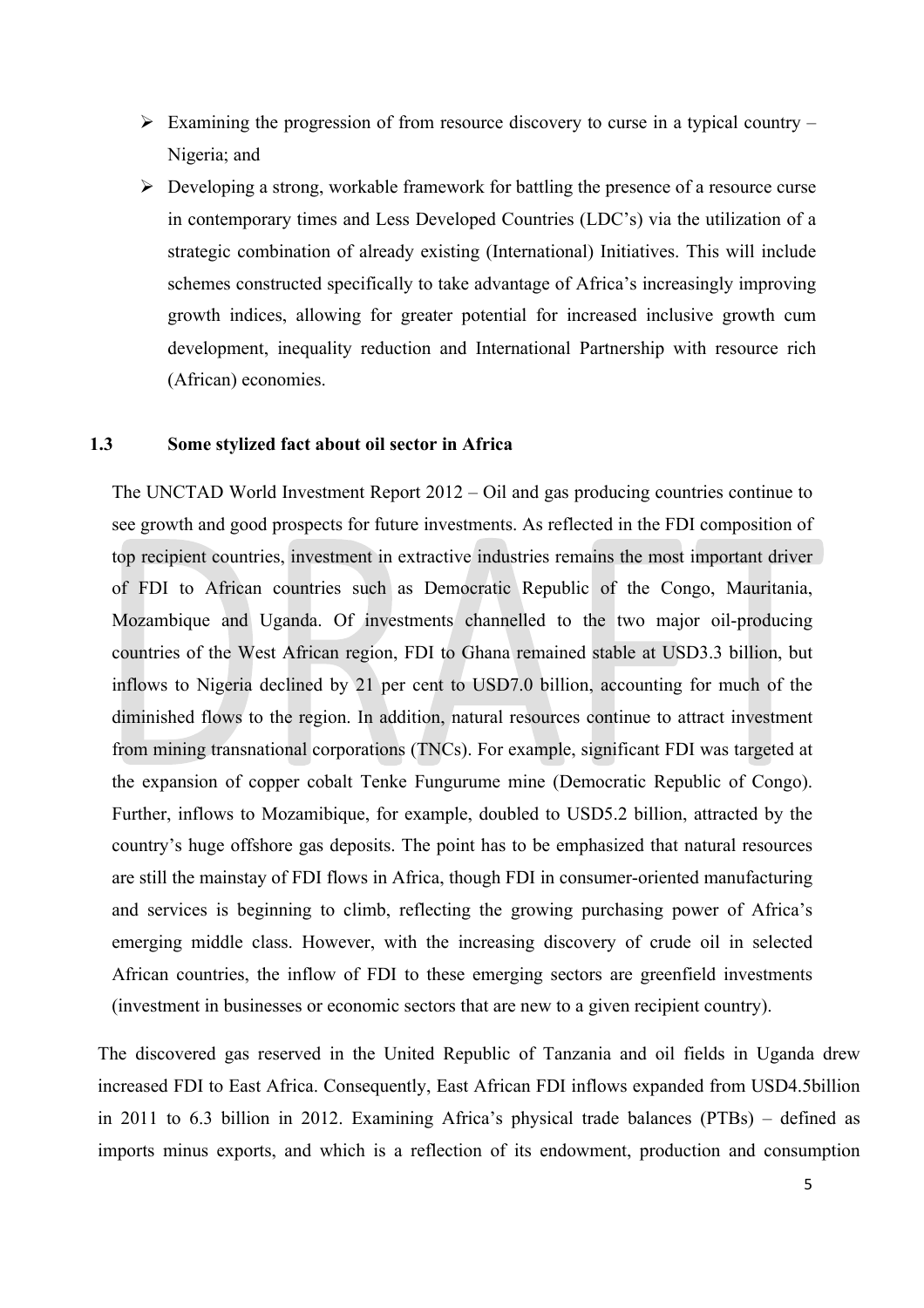- $\triangleright$  Examining the progression of from resource discovery to curse in a typical country Nigeria; and
- $\triangleright$  Developing a strong, workable framework for battling the presence of a resource curse in contemporary times and Less Developed Countries (LDC's) via the utilization of a strategic combination of already existing (International) Initiatives. This will include schemes constructed specifically to take advantage of Africa's increasingly improving growth indices, allowing for greater potential for increased inclusive growth cum development, inequality reduction and International Partnership with resource rich (African) economies.

#### **1.3 Some stylized fact about oil sector in Africa**

The UNCTAD World Investment Report 2012 – Oil and gas producing countries continue to see growth and good prospects for future investments. As reflected in the FDI composition of top recipient countries, investment in extractive industries remains the most important driver of FDI to African countries such as Democratic Republic of the Congo, Mauritania, Mozambique and Uganda. Of investments channelled to the two major oil-producing countries of the West African region, FDI to Ghana remained stable at USD3.3 billion, but inflows to Nigeria declined by 21 per cent to USD7.0 billion, accounting for much of the diminished flows to the region. In addition, natural resources continue to attract investment from mining transnational corporations (TNCs). For example, significant FDI was targeted at the expansion of copper cobalt Tenke Fungurume mine (Democratic Republic of Congo). Further, inflows to Mozamibique, for example, doubled to USD5.2 billion, attracted by the country's huge offshore gas deposits. The point has to be emphasized that natural resources are still the mainstay of FDI flows in Africa, though FDI in consumer-oriented manufacturing and services is beginning to climb, reflecting the growing purchasing power of Africa's emerging middle class. However, with the increasing discovery of crude oil in selected African countries, the inflow of FDI to these emerging sectors are greenfield investments (investment in businesses or economic sectors that are new to a given recipient country).

The discovered gas reserved in the United Republic of Tanzania and oil fields in Uganda drew increased FDI to East Africa. Consequently, East African FDI inflows expanded from USD4.5billion in 2011 to 6.3 billion in 2012. Examining Africa's physical trade balances (PTBs) – defined as imports minus exports, and which is a reflection of its endowment, production and consumption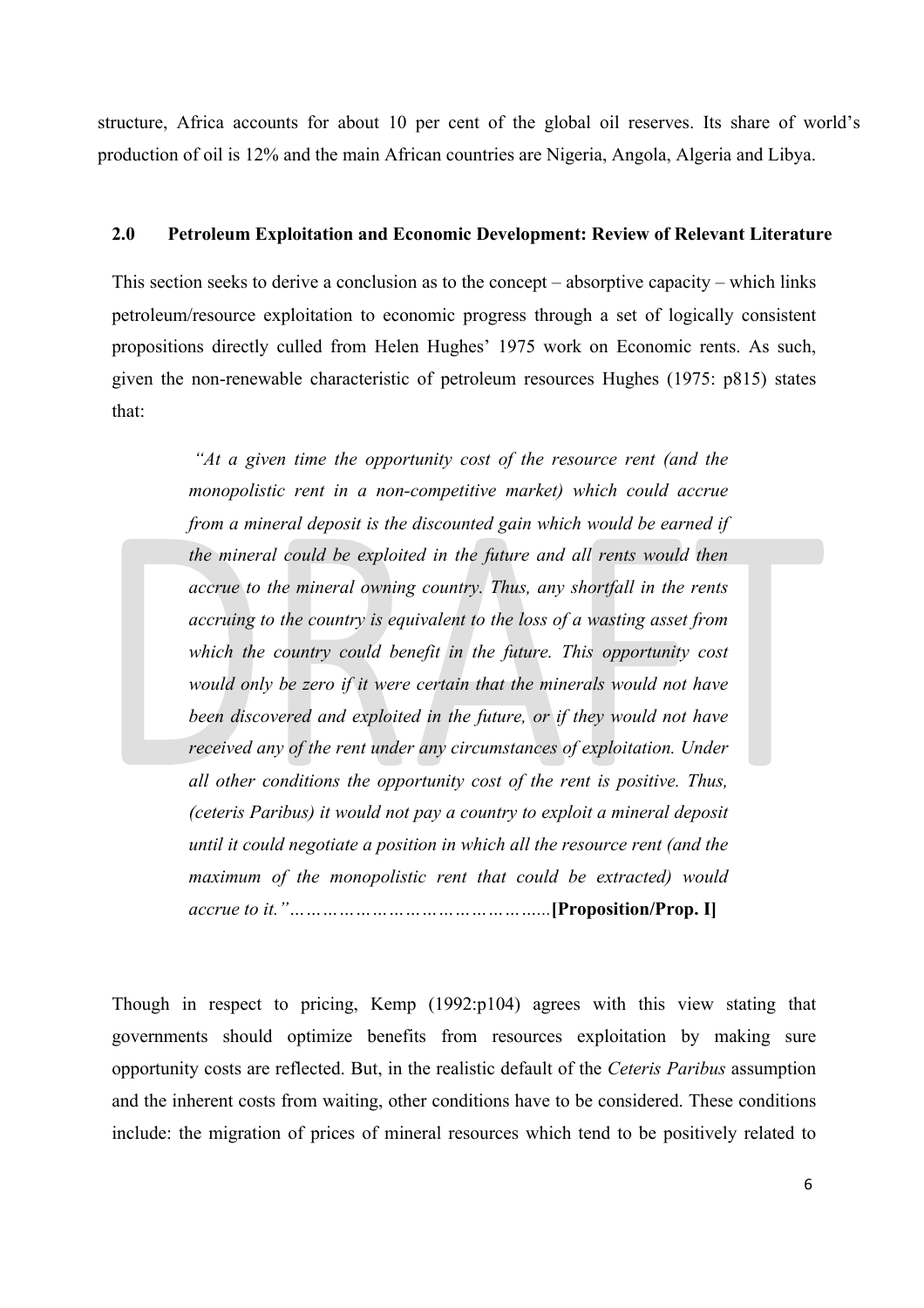structure, Africa accounts for about 10 per cent of the global oil reserves. Its share of world's production of oil is 12% and the main African countries are Nigeria, Angola, Algeria and Libya.

#### **2.0 Petroleum Exploitation and Economic Development: Review of Relevant Literature**

This section seeks to derive a conclusion as to the concept – absorptive capacity – which links petroleum/resource exploitation to economic progress through a set of logically consistent propositions directly culled from Helen Hughes' 1975 work on Economic rents. As such, given the non-renewable characteristic of petroleum resources Hughes (1975: p815) states that:

> *"At a given time the opportunity cost of the resource rent (and the monopolistic rent in a non-competitive market) which could accrue from a mineral deposit is the discounted gain which would be earned if the mineral could be exploited in the future and all rents would then accrue to the mineral owning country. Thus, any shortfall in the rents accruing to the country is equivalent to the loss of a wasting asset from which the country could benefit in the future. This opportunity cost would only be zero if it were certain that the minerals would not have been discovered and exploited in the future, or if they would not have received any of the rent under any circumstances of exploitation. Under all other conditions the opportunity cost of the rent is positive. Thus, (ceteris Paribus) it would not pay a country to exploit a mineral deposit until it could negotiate a position in which all the resource rent (and the maximum of the monopolistic rent that could be extracted) would accrue to it."………………………………………...***[Proposition/Prop. I]**

Though in respect to pricing, Kemp (1992:p104) agrees with this view stating that governments should optimize benefits from resources exploitation by making sure opportunity costs are reflected. But, in the realistic default of the *Ceteris Paribus* assumption and the inherent costs from waiting, other conditions have to be considered. These conditions include: the migration of prices of mineral resources which tend to be positively related to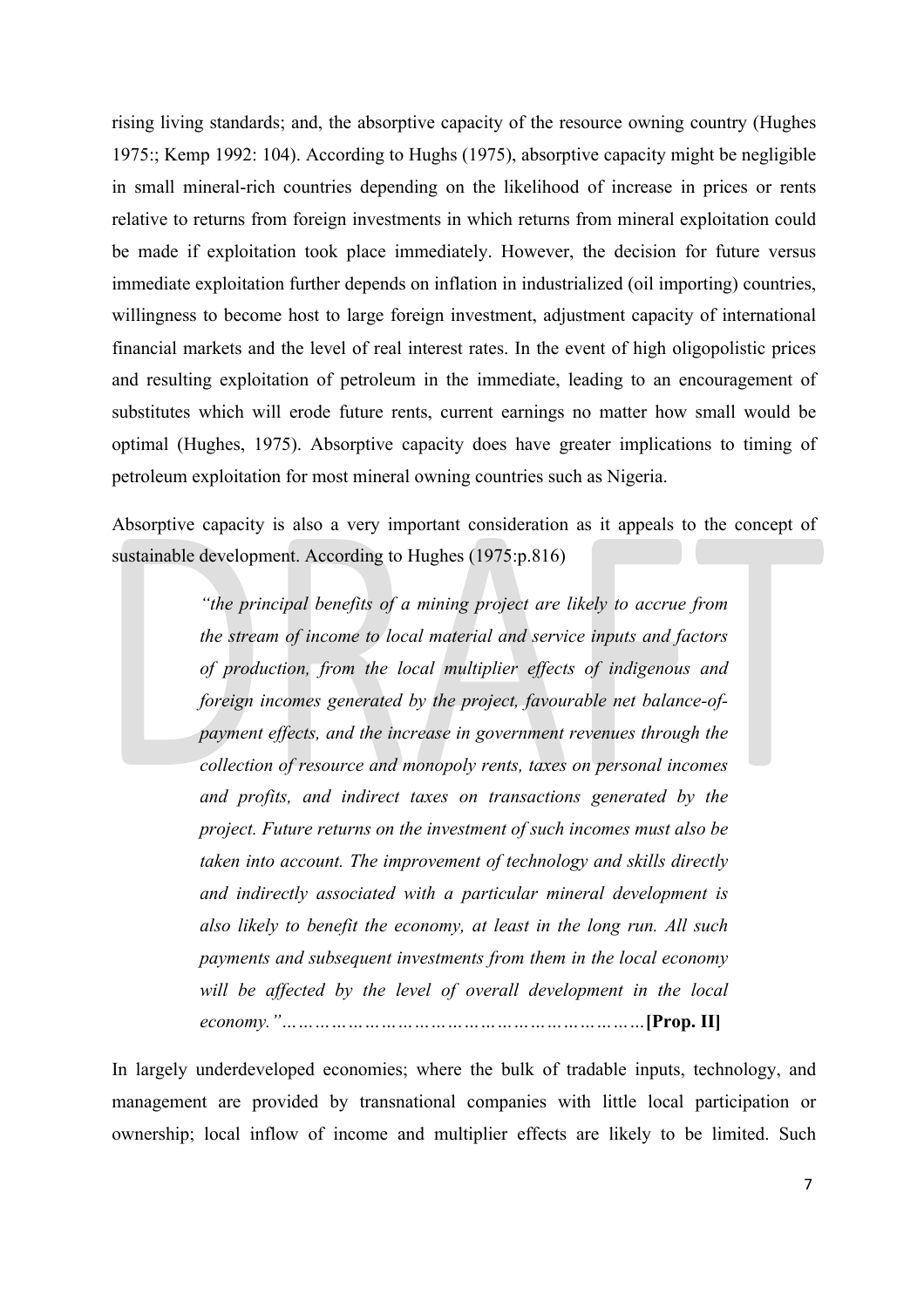rising living standards; and, the absorptive capacity of the resource owning country (Hughes 1975:; Kemp 1992: 104). According to Hughs (1975), absorptive capacity might be negligible in small mineral-rich countries depending on the likelihood of increase in prices or rents relative to returns from foreign investments in which returns from mineral exploitation could be made if exploitation took place immediately. However, the decision for future versus immediate exploitation further depends on inflation in industrialized (oil importing) countries, willingness to become host to large foreign investment, adjustment capacity of international financial markets and the level of real interest rates. In the event of high oligopolistic prices and resulting exploitation of petroleum in the immediate, leading to an encouragement of substitutes which will erode future rents, current earnings no matter how small would be optimal (Hughes, 1975). Absorptive capacity does have greater implications to timing of petroleum exploitation for most mineral owning countries such as Nigeria.

Absorptive capacity is also a very important consideration as it appeals to the concept of sustainable development. According to Hughes (1975:p.816)

> *"the principal benefits of a mining project are likely to accrue from the stream of income to local material and service inputs and factors of production, from the local multiplier effects of indigenous and foreign incomes generated by the project, favourable net balance-ofpayment effects, and the increase in government revenues through the collection of resource and monopoly rents, taxes on personal incomes and profits, and indirect taxes on transactions generated by the project. Future returns on the investment of such incomes must also be taken into account. The improvement of technology and skills directly and indirectly associated with a particular mineral development is also likely to benefit the economy, at least in the long run. All such payments and subsequent investments from them in the local economy will be affected by the level of overall development in the local economy."…………………………………………………………***[Prop. II]**

In largely underdeveloped economies; where the bulk of tradable inputs, technology, and management are provided by transnational companies with little local participation or ownership; local inflow of income and multiplier effects are likely to be limited. Such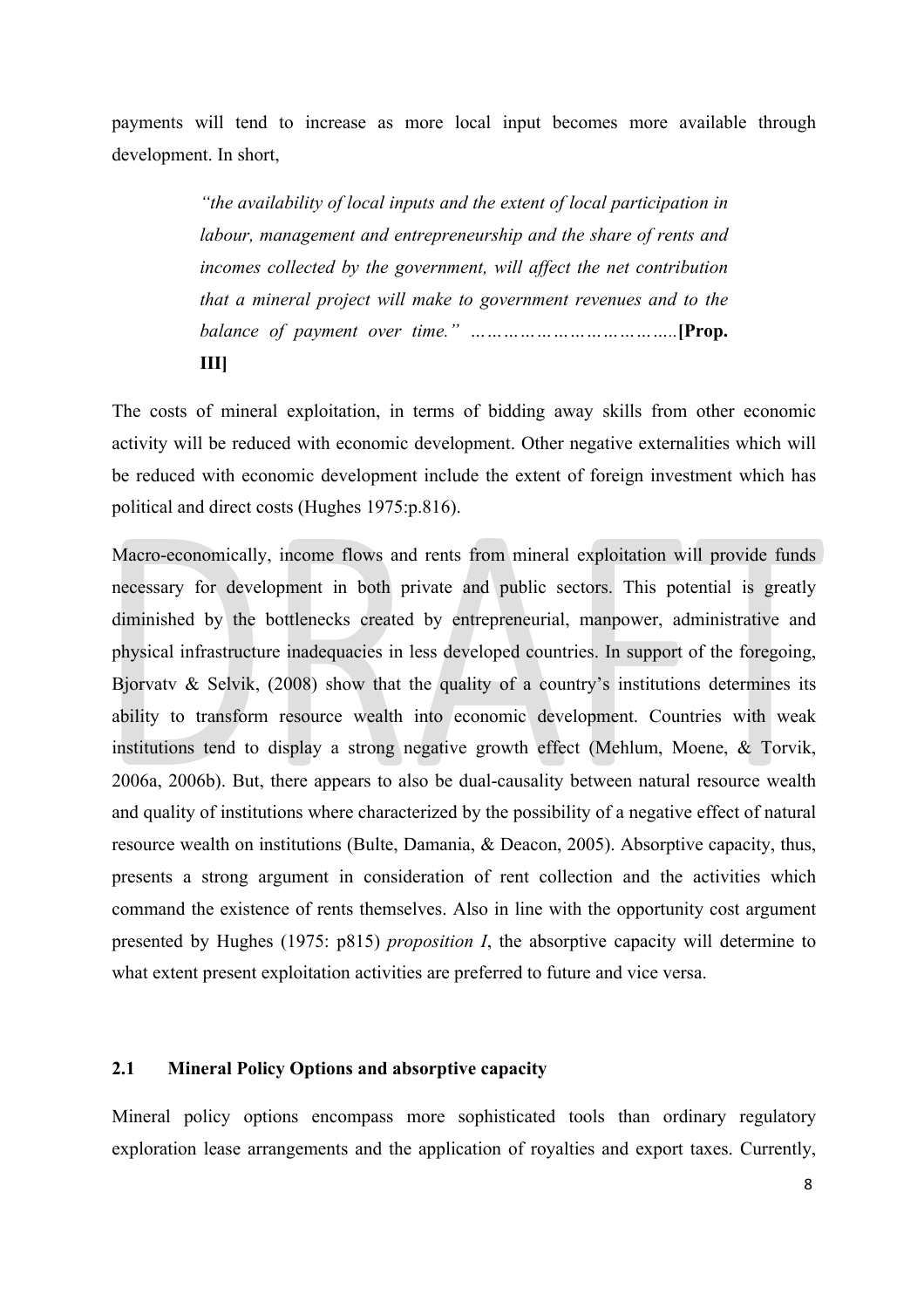payments will tend to increase as more local input becomes more available through development. In short,

> *"the availability of local inputs and the extent of local participation in labour, management and entrepreneurship and the share of rents and incomes collected by the government, will affect the net contribution that a mineral project will make to government revenues and to the balance of payment over time." ………………………………..***[Prop. III]**

The costs of mineral exploitation, in terms of bidding away skills from other economic activity will be reduced with economic development. Other negative externalities which will be reduced with economic development include the extent of foreign investment which has political and direct costs (Hughes 1975:p.816).

Macro-economically, income flows and rents from mineral exploitation will provide funds necessary for development in both private and public sectors. This potential is greatly diminished by the bottlenecks created by entrepreneurial, manpower, administrative and physical infrastructure inadequacies in less developed countries. In support of the foregoing, Bjorvaty & Selvik,  $(2008)$  show that the quality of a country's institutions determines its ability to transform resource wealth into economic development. Countries with weak institutions tend to display a strong negative growth effect (Mehlum, Moene, & Torvik, 2006a, 2006b). But, there appears to also be dual-causality between natural resource wealth and quality of institutions where characterized by the possibility of a negative effect of natural resource wealth on institutions (Bulte, Damania, & Deacon, 2005). Absorptive capacity, thus, presents a strong argument in consideration of rent collection and the activities which command the existence of rents themselves. Also in line with the opportunity cost argument presented by Hughes (1975: p815) *proposition I*, the absorptive capacity will determine to what extent present exploitation activities are preferred to future and vice versa.

#### **2.1 Mineral Policy Options and absorptive capacity**

Mineral policy options encompass more sophisticated tools than ordinary regulatory exploration lease arrangements and the application of royalties and export taxes. Currently,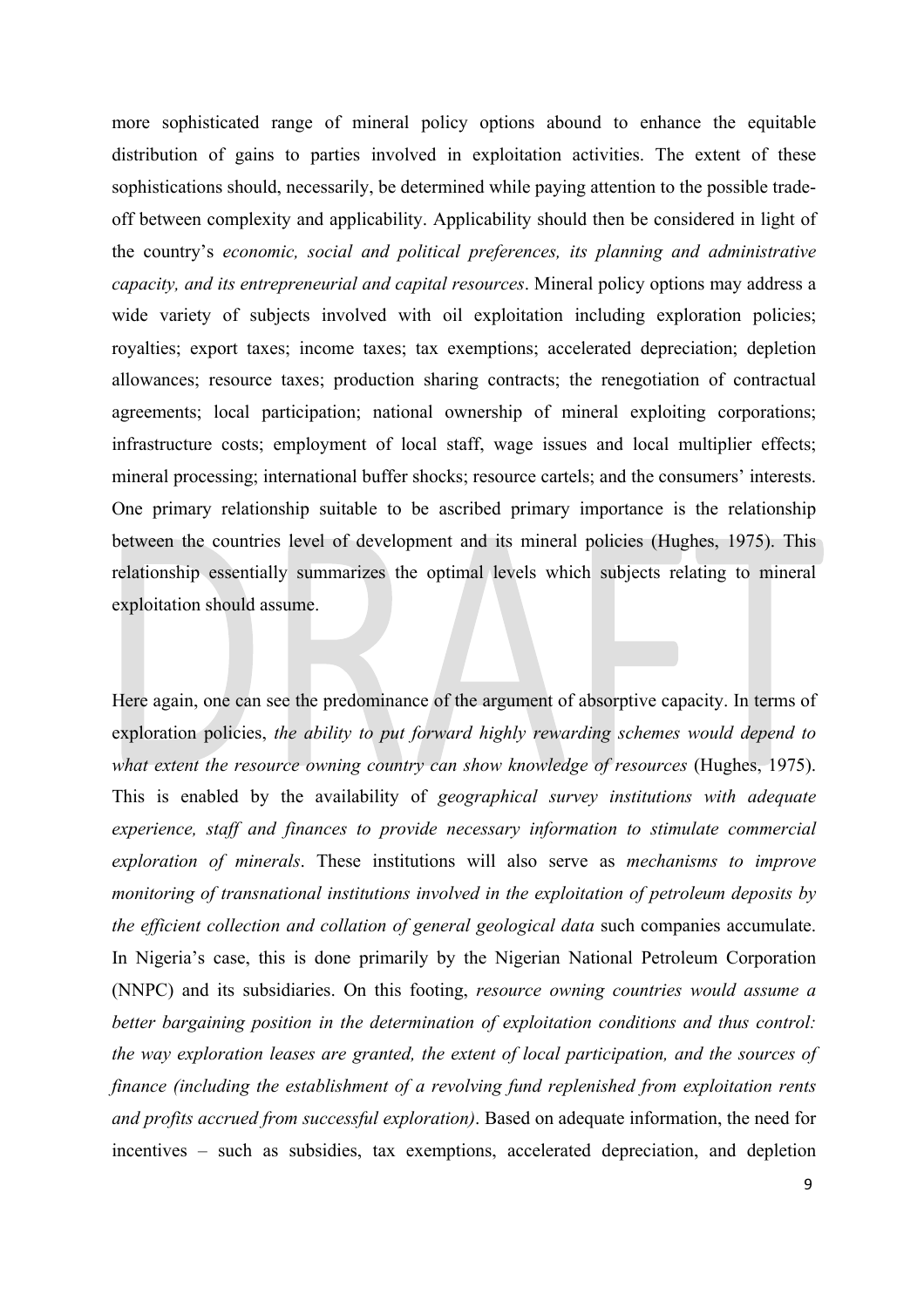more sophisticated range of mineral policy options abound to enhance the equitable distribution of gains to parties involved in exploitation activities. The extent of these sophistications should, necessarily, be determined while paying attention to the possible tradeoff between complexity and applicability. Applicability should then be considered in light of the country's *economic, social and political preferences, its planning and administrative capacity, and its entrepreneurial and capital resources*. Mineral policy options may address a wide variety of subjects involved with oil exploitation including exploration policies; royalties; export taxes; income taxes; tax exemptions; accelerated depreciation; depletion allowances; resource taxes; production sharing contracts; the renegotiation of contractual agreements; local participation; national ownership of mineral exploiting corporations; infrastructure costs; employment of local staff, wage issues and local multiplier effects; mineral processing; international buffer shocks; resource cartels; and the consumers' interests. One primary relationship suitable to be ascribed primary importance is the relationship between the countries level of development and its mineral policies (Hughes, 1975). This relationship essentially summarizes the optimal levels which subjects relating to mineral exploitation should assume.

Here again, one can see the predominance of the argument of absorptive capacity. In terms of exploration policies, *the ability to put forward highly rewarding schemes would depend to what extent the resource owning country can show knowledge of resources* (Hughes, 1975). This is enabled by the availability of *geographical survey institutions with adequate experience, staff and finances to provide necessary information to stimulate commercial exploration of minerals*. These institutions will also serve as *mechanisms to improve monitoring of transnational institutions involved in the exploitation of petroleum deposits by the efficient collection and collation of general geological data* such companies accumulate. In Nigeria's case, this is done primarily by the Nigerian National Petroleum Corporation (NNPC) and its subsidiaries. On this footing, *resource owning countries would assume a better bargaining position in the determination of exploitation conditions and thus control: the way exploration leases are granted, the extent of local participation, and the sources of finance (including the establishment of a revolving fund replenished from exploitation rents and profits accrued from successful exploration)*. Based on adequate information, the need for incentives – such as subsidies, tax exemptions, accelerated depreciation, and depletion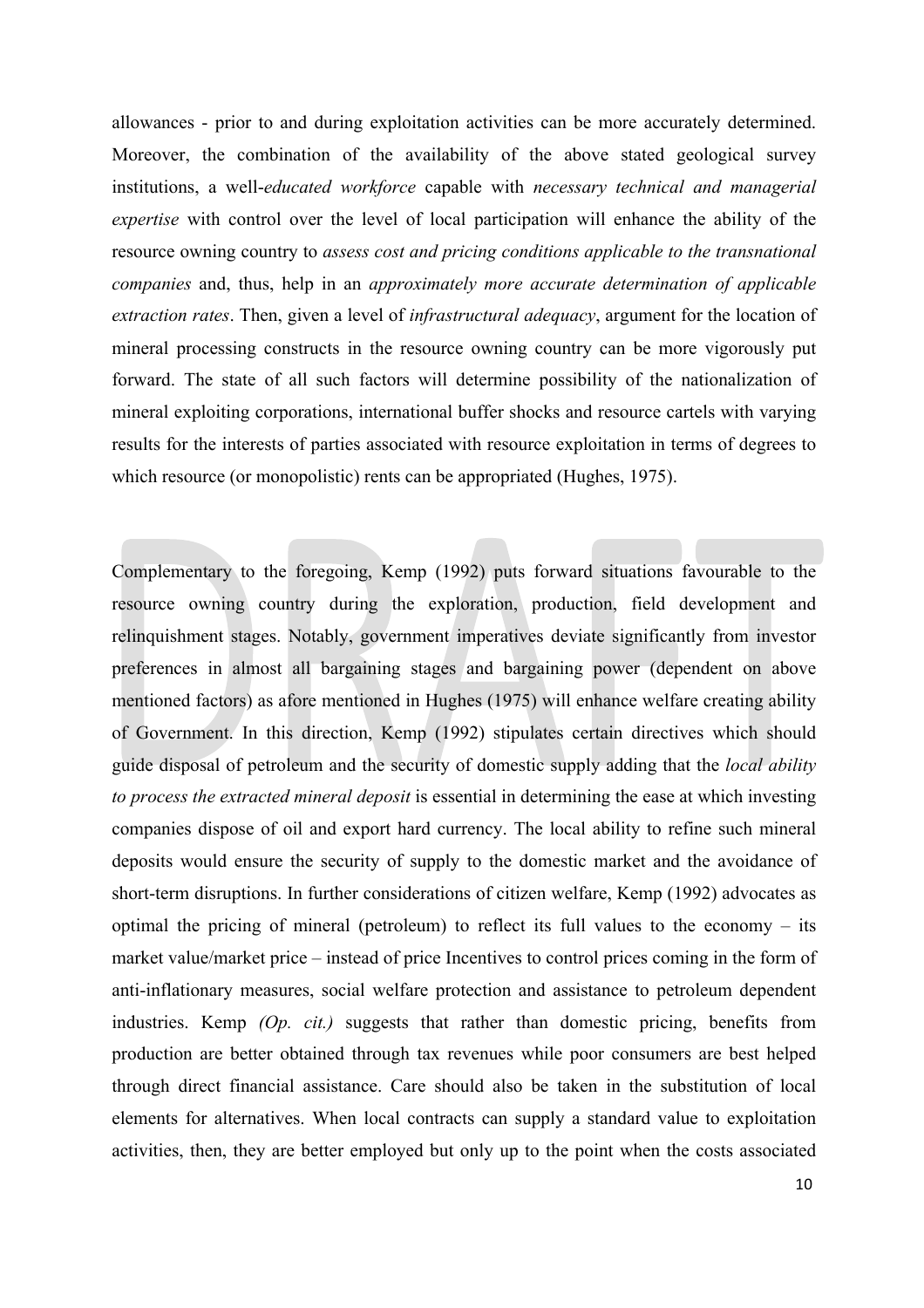allowances - prior to and during exploitation activities can be more accurately determined. Moreover, the combination of the availability of the above stated geological survey institutions, a well-*educated workforce* capable with *necessary technical and managerial expertise* with control over the level of local participation will enhance the ability of the resource owning country to *assess cost and pricing conditions applicable to the transnational companies* and, thus, help in an *approximately more accurate determination of applicable extraction rates*. Then, given a level of *infrastructural adequacy*, argument for the location of mineral processing constructs in the resource owning country can be more vigorously put forward. The state of all such factors will determine possibility of the nationalization of mineral exploiting corporations, international buffer shocks and resource cartels with varying results for the interests of parties associated with resource exploitation in terms of degrees to which resource (or monopolistic) rents can be appropriated (Hughes, 1975).

Complementary to the foregoing, Kemp (1992) puts forward situations favourable to the resource owning country during the exploration, production, field development and relinquishment stages. Notably, government imperatives deviate significantly from investor preferences in almost all bargaining stages and bargaining power (dependent on above mentioned factors) as afore mentioned in Hughes (1975) will enhance welfare creating ability of Government. In this direction, Kemp (1992) stipulates certain directives which should guide disposal of petroleum and the security of domestic supply adding that the *local ability to process the extracted mineral deposit* is essential in determining the ease at which investing companies dispose of oil and export hard currency. The local ability to refine such mineral deposits would ensure the security of supply to the domestic market and the avoidance of short-term disruptions. In further considerations of citizen welfare, Kemp (1992) advocates as optimal the pricing of mineral (petroleum) to reflect its full values to the economy – its market value/market price – instead of price Incentives to control prices coming in the form of anti-inflationary measures, social welfare protection and assistance to petroleum dependent industries. Kemp *(Op. cit.)* suggests that rather than domestic pricing, benefits from production are better obtained through tax revenues while poor consumers are best helped through direct financial assistance. Care should also be taken in the substitution of local elements for alternatives. When local contracts can supply a standard value to exploitation activities, then, they are better employed but only up to the point when the costs associated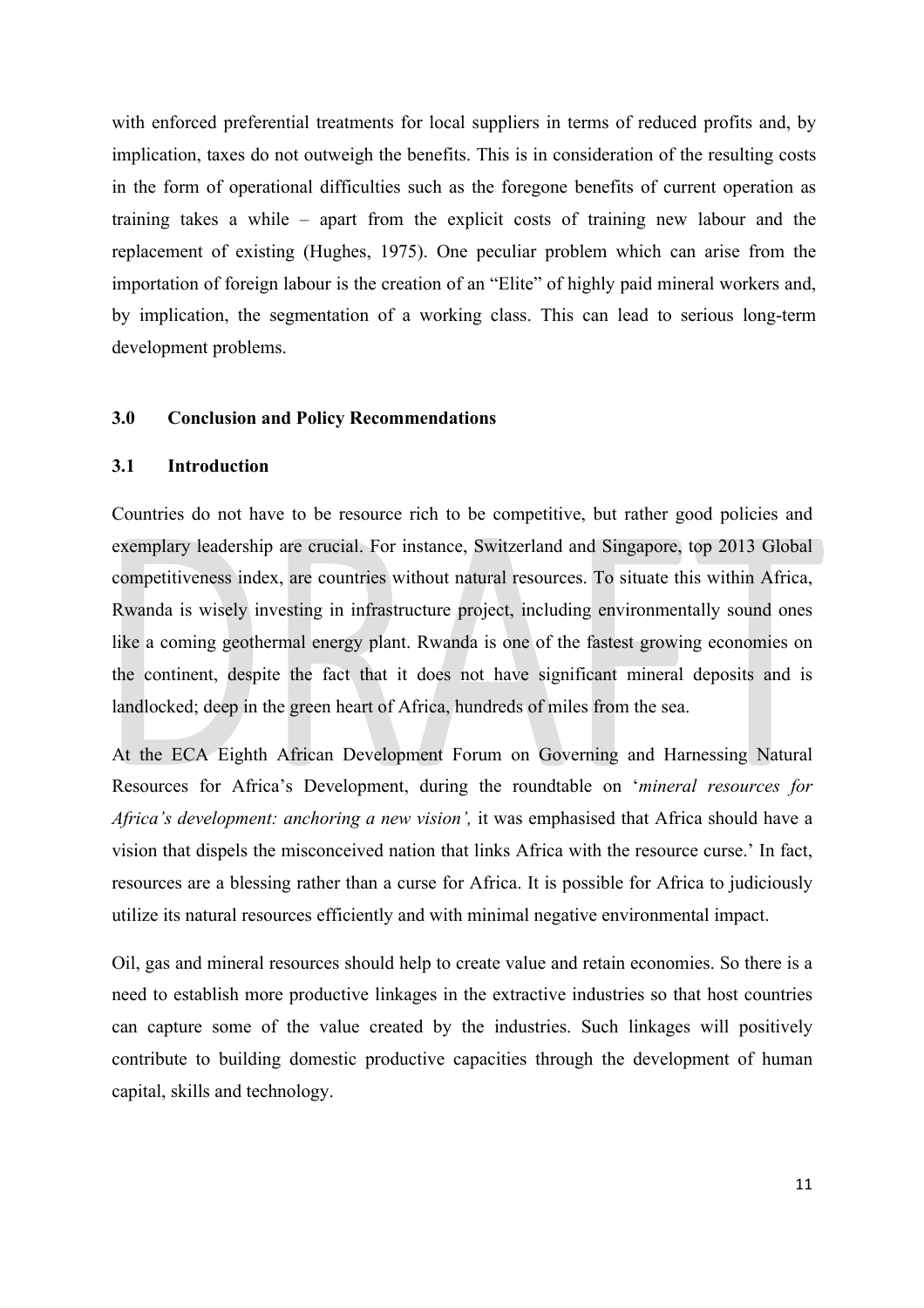with enforced preferential treatments for local suppliers in terms of reduced profits and, by implication, taxes do not outweigh the benefits. This is in consideration of the resulting costs in the form of operational difficulties such as the foregone benefits of current operation as training takes a while – apart from the explicit costs of training new labour and the replacement of existing (Hughes, 1975). One peculiar problem which can arise from the importation of foreign labour is the creation of an "Elite" of highly paid mineral workers and, by implication, the segmentation of a working class. This can lead to serious long-term development problems.

#### **3.0 Conclusion and Policy Recommendations**

#### **3.1 Introduction**

Countries do not have to be resource rich to be competitive, but rather good policies and exemplary leadership are crucial. For instance, Switzerland and Singapore, top 2013 Global competitiveness index, are countries without natural resources. To situate this within Africa, Rwanda is wisely investing in infrastructure project, including environmentally sound ones like a coming geothermal energy plant. Rwanda is one of the fastest growing economies on the continent, despite the fact that it does not have significant mineral deposits and is landlocked; deep in the green heart of Africa, hundreds of miles from the sea.

At the ECA Eighth African Development Forum on Governing and Harnessing Natural Resources for Africa's Development, during the roundtable on '*mineral resources for Africa's development: anchoring a new vision',* it was emphasised that Africa should have a vision that dispels the misconceived nation that links Africa with the resource curse.' In fact, resources are a blessing rather than a curse for Africa. It is possible for Africa to judiciously utilize its natural resources efficiently and with minimal negative environmental impact.

Oil, gas and mineral resources should help to create value and retain economies. So there is a need to establish more productive linkages in the extractive industries so that host countries can capture some of the value created by the industries. Such linkages will positively contribute to building domestic productive capacities through the development of human capital, skills and technology.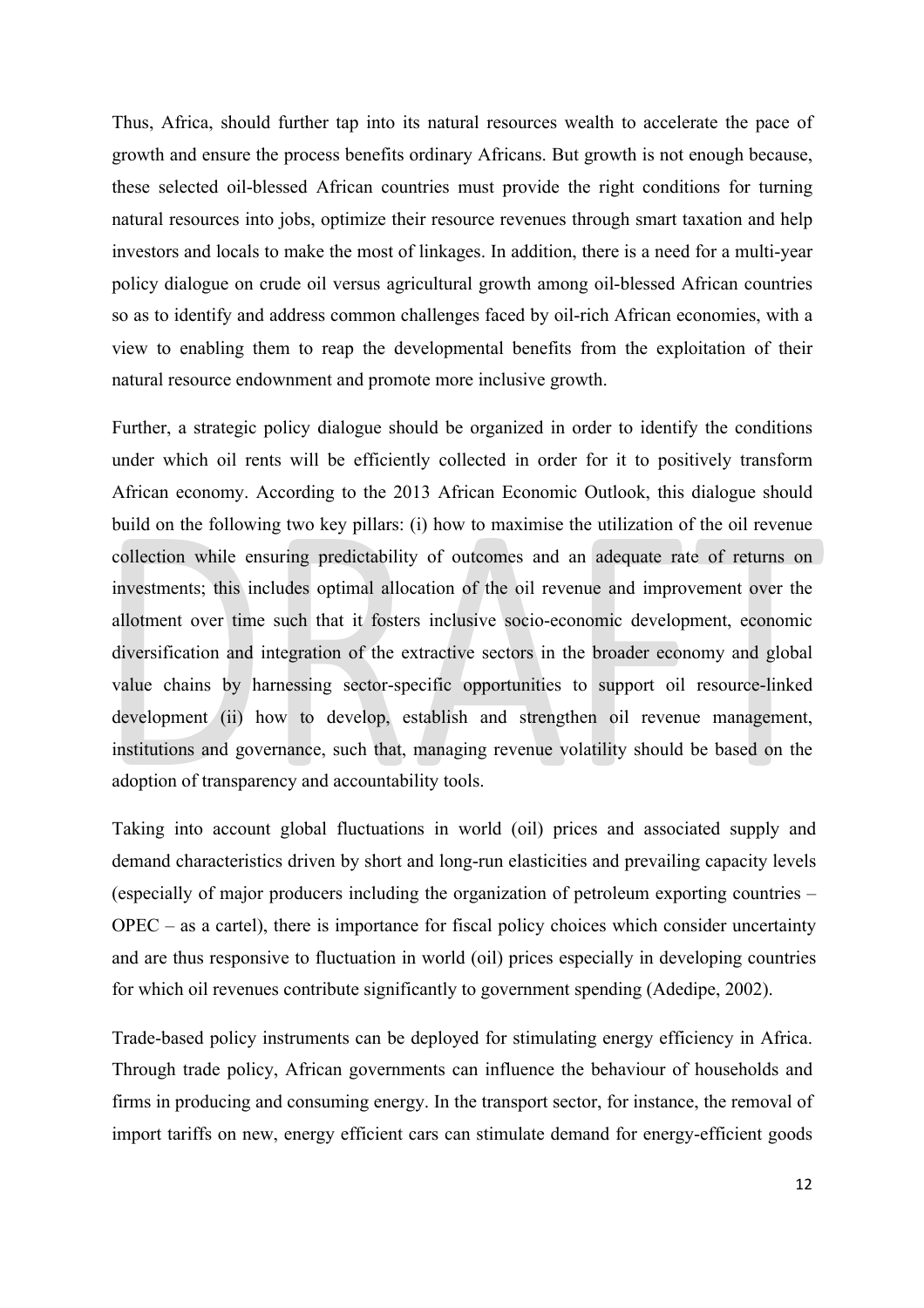Thus, Africa, should further tap into its natural resources wealth to accelerate the pace of growth and ensure the process benefits ordinary Africans. But growth is not enough because, these selected oil-blessed African countries must provide the right conditions for turning natural resources into jobs, optimize their resource revenues through smart taxation and help investors and locals to make the most of linkages. In addition, there is a need for a multi-year policy dialogue on crude oil versus agricultural growth among oil-blessed African countries so as to identify and address common challenges faced by oil-rich African economies, with a view to enabling them to reap the developmental benefits from the exploitation of their natural resource endownment and promote more inclusive growth.

Further, a strategic policy dialogue should be organized in order to identify the conditions under which oil rents will be efficiently collected in order for it to positively transform African economy. According to the 2013 African Economic Outlook, this dialogue should build on the following two key pillars: (i) how to maximise the utilization of the oil revenue collection while ensuring predictability of outcomes and an adequate rate of returns on investments; this includes optimal allocation of the oil revenue and improvement over the allotment over time such that it fosters inclusive socio-economic development, economic diversification and integration of the extractive sectors in the broader economy and global value chains by harnessing sector-specific opportunities to support oil resource-linked development (ii) how to develop, establish and strengthen oil revenue management, institutions and governance, such that, managing revenue volatility should be based on the adoption of transparency and accountability tools.

Taking into account global fluctuations in world (oil) prices and associated supply and demand characteristics driven by short and long-run elasticities and prevailing capacity levels (especially of major producers including the organization of petroleum exporting countries – OPEC – as a cartel), there is importance for fiscal policy choices which consider uncertainty and are thus responsive to fluctuation in world (oil) prices especially in developing countries for which oil revenues contribute significantly to government spending (Adedipe, 2002).

Trade-based policy instruments can be deployed for stimulating energy efficiency in Africa. Through trade policy, African governments can influence the behaviour of households and firms in producing and consuming energy. In the transport sector, for instance, the removal of import tariffs on new, energy efficient cars can stimulate demand for energy-efficient goods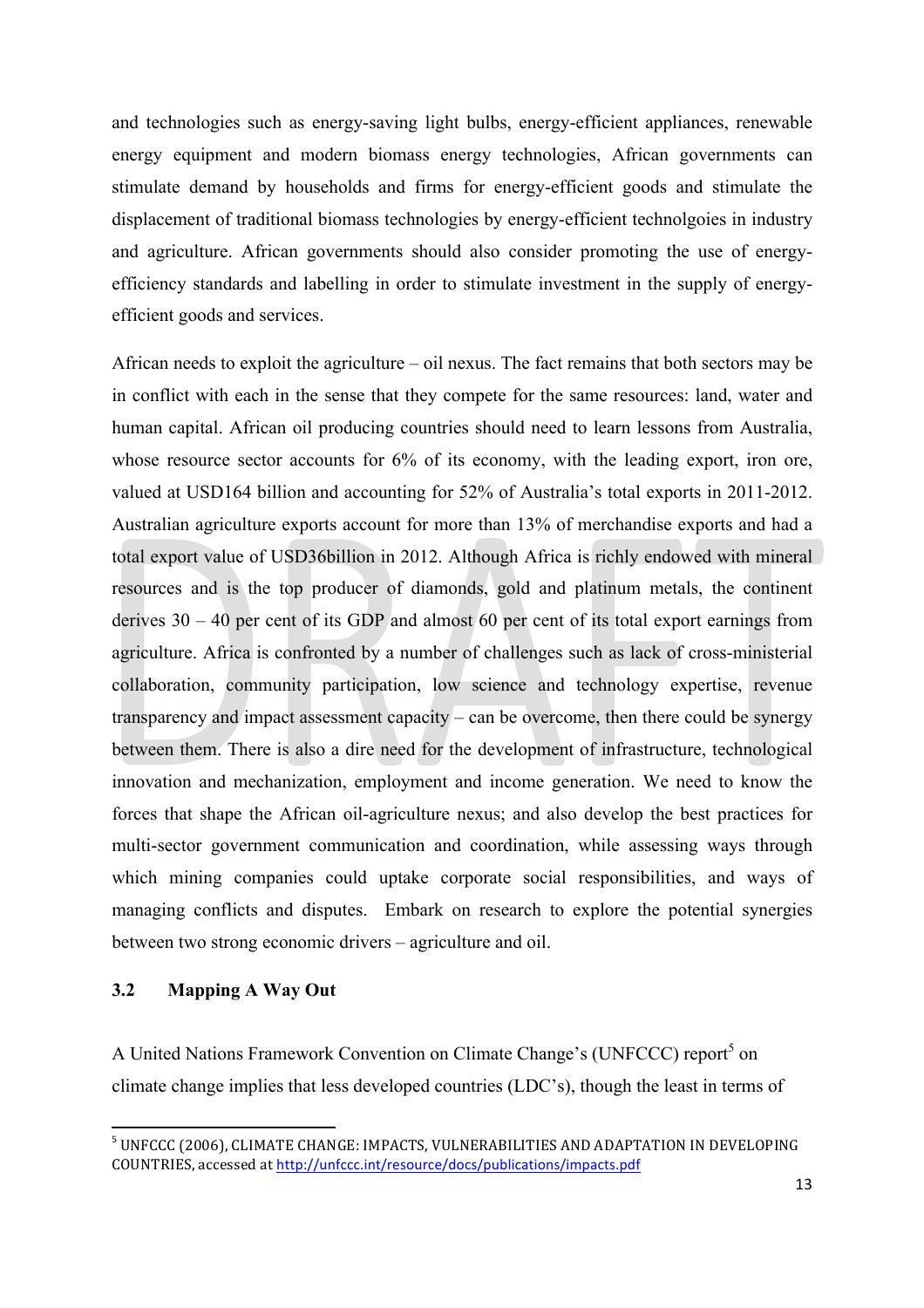and technologies such as energy-saving light bulbs, energy-efficient appliances, renewable energy equipment and modern biomass energy technologies, African governments can stimulate demand by households and firms for energy-efficient goods and stimulate the displacement of traditional biomass technologies by energy-efficient technolgoies in industry and agriculture. African governments should also consider promoting the use of energyefficiency standards and labelling in order to stimulate investment in the supply of energyefficient goods and services.

African needs to exploit the agriculture – oil nexus. The fact remains that both sectors may be in conflict with each in the sense that they compete for the same resources: land, water and human capital. African oil producing countries should need to learn lessons from Australia, whose resource sector accounts for 6% of its economy, with the leading export, iron ore, valued at USD164 billion and accounting for 52% of Australia's total exports in 2011-2012. Australian agriculture exports account for more than 13% of merchandise exports and had a total export value of USD36billion in 2012. Although Africa is richly endowed with mineral resources and is the top producer of diamonds, gold and platinum metals, the continent derives 30 – 40 per cent of its GDP and almost 60 per cent of its total export earnings from agriculture. Africa is confronted by a number of challenges such as lack of cross-ministerial collaboration, community participation, low science and technology expertise, revenue transparency and impact assessment capacity – can be overcome, then there could be synergy between them. There is also a dire need for the development of infrastructure, technological innovation and mechanization, employment and income generation. We need to know the forces that shape the African oil-agriculture nexus; and also develop the best practices for multi-sector government communication and coordination, while assessing ways through which mining companies could uptake corporate social responsibilities, and ways of managing conflicts and disputes. Embark on research to explore the potential synergies between two strong economic drivers – agriculture and oil.

#### **3.2 Mapping A Way Out**

<u> 1989 - Jan Samuel Barbara, margaret e</u>

A United Nations Framework Convention on Climate Change's (UNFCCC) report<sup>5</sup> on climate change implies that less developed countries (LDC's), though the least in terms of

 $^5$  UNFCCC (2006), CLIMATE CHANGE: IMPACTS, VULNERABILITIES AND ADAPTATION IN DEVELOPING COUNTRIES, accessed at http://unfccc.int/resource/docs/publications/impacts.pdf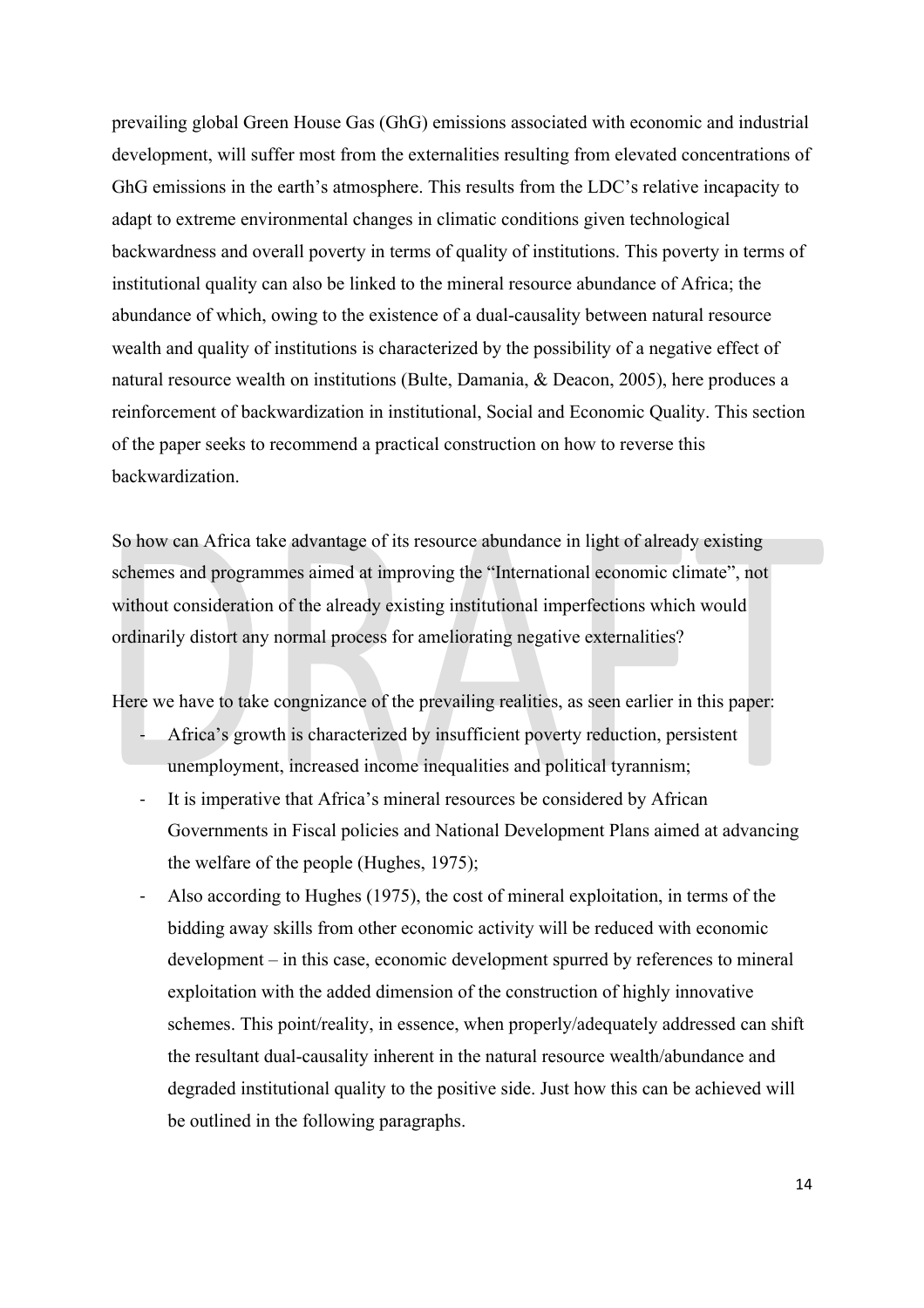prevailing global Green House Gas (GhG) emissions associated with economic and industrial development, will suffer most from the externalities resulting from elevated concentrations of GhG emissions in the earth's atmosphere. This results from the LDC's relative incapacity to adapt to extreme environmental changes in climatic conditions given technological backwardness and overall poverty in terms of quality of institutions. This poverty in terms of institutional quality can also be linked to the mineral resource abundance of Africa; the abundance of which, owing to the existence of a dual-causality between natural resource wealth and quality of institutions is characterized by the possibility of a negative effect of natural resource wealth on institutions (Bulte, Damania, & Deacon, 2005), here produces a reinforcement of backwardization in institutional, Social and Economic Quality. This section of the paper seeks to recommend a practical construction on how to reverse this backwardization.

So how can Africa take advantage of its resource abundance in light of already existing schemes and programmes aimed at improving the "International economic climate", not without consideration of the already existing institutional imperfections which would ordinarily distort any normal process for ameliorating negative externalities?

Here we have to take congnizance of the prevailing realities, as seen earlier in this paper:

- Africa's growth is characterized by insufficient poverty reduction, persistent unemployment, increased income inequalities and political tyrannism;
- It is imperative that Africa's mineral resources be considered by African Governments in Fiscal policies and National Development Plans aimed at advancing the welfare of the people (Hughes, 1975);
- Also according to Hughes (1975), the cost of mineral exploitation, in terms of the bidding away skills from other economic activity will be reduced with economic development – in this case, economic development spurred by references to mineral exploitation with the added dimension of the construction of highly innovative schemes. This point/reality, in essence, when properly/adequately addressed can shift the resultant dual-causality inherent in the natural resource wealth/abundance and degraded institutional quality to the positive side. Just how this can be achieved will be outlined in the following paragraphs.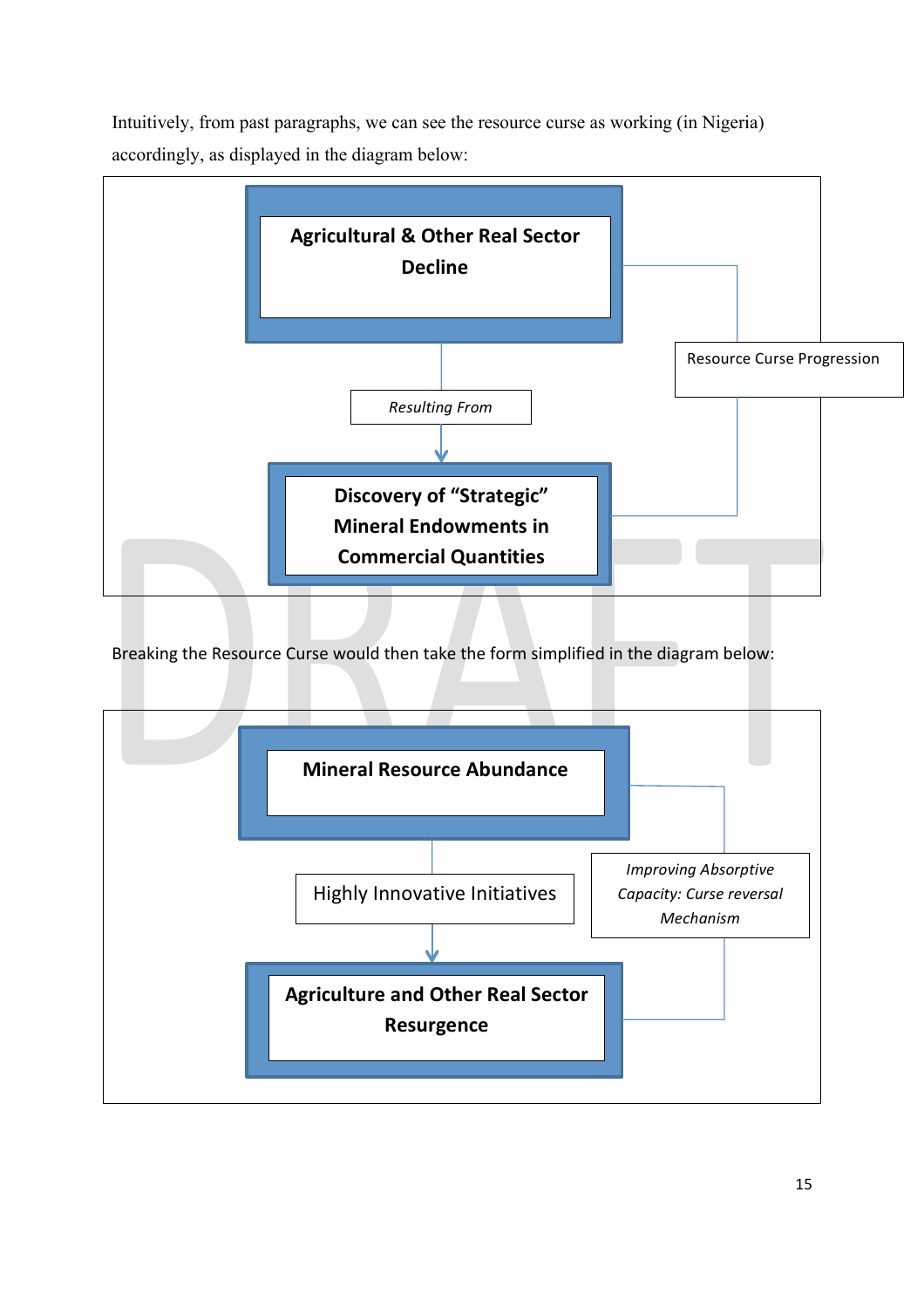Intuitively, from past paragraphs, we can see the resource curse as working (in Nigeria) accordingly, as displayed in the diagram below:



Breaking the Resource Curse would then take the form simplified in the diagram below:

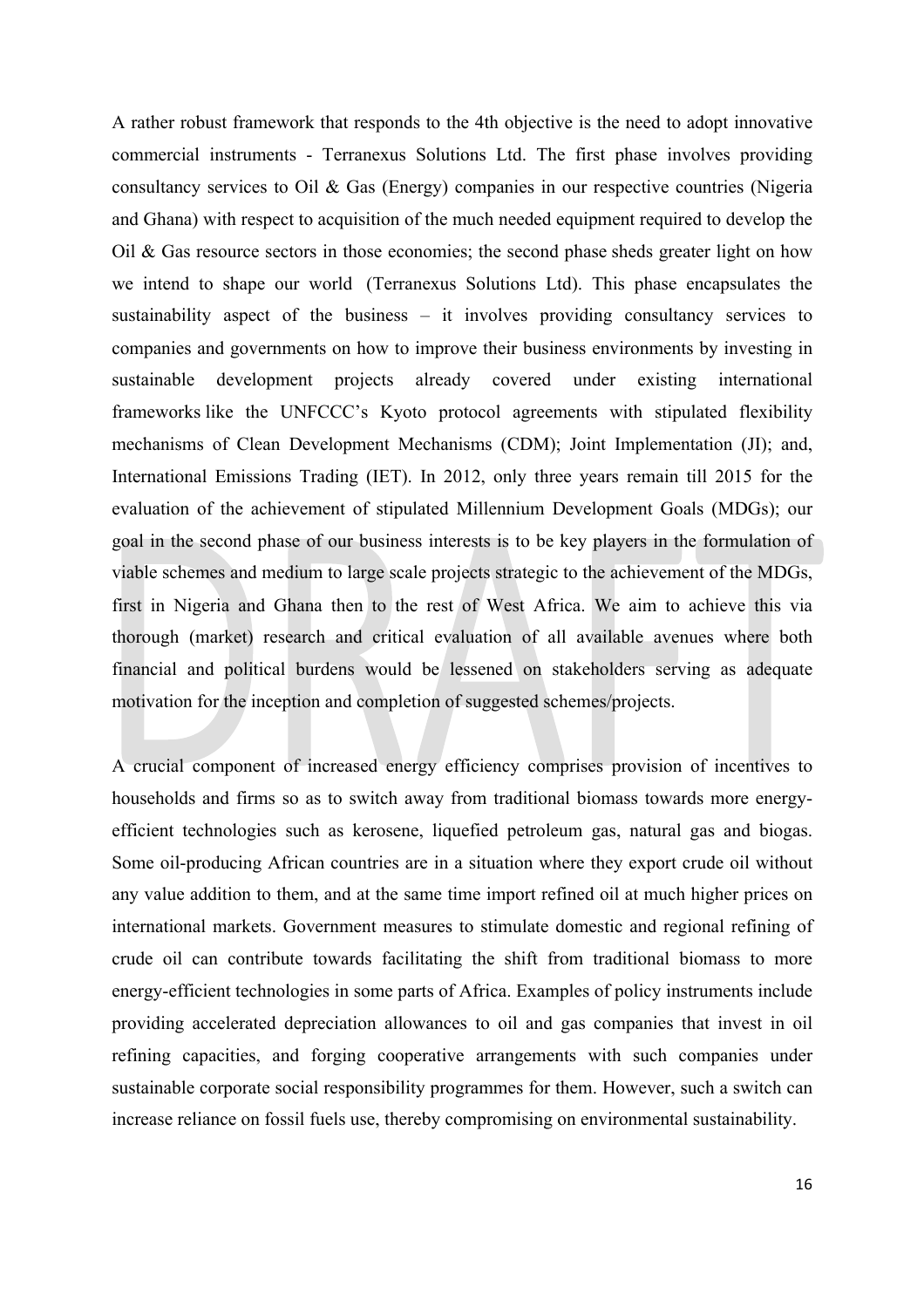A rather robust framework that responds to the 4th objective is the need to adopt innovative commercial instruments - Terranexus Solutions Ltd. The first phase involves providing consultancy services to Oil & Gas (Energy) companies in our respective countries (Nigeria and Ghana) with respect to acquisition of the much needed equipment required to develop the Oil & Gas resource sectors in those economies; the second phase sheds greater light on how we intend to shape our world (Terranexus Solutions Ltd). This phase encapsulates the sustainability aspect of the business – it involves providing consultancy services to companies and governments on how to improve their business environments by investing in sustainable development projects already covered under existing international frameworks like the UNFCCC's Kyoto protocol agreements with stipulated flexibility mechanisms of Clean Development Mechanisms (CDM); Joint Implementation (JI); and, International Emissions Trading (IET). In 2012, only three years remain till 2015 for the evaluation of the achievement of stipulated Millennium Development Goals (MDGs); our goal in the second phase of our business interests is to be key players in the formulation of viable schemes and medium to large scale projects strategic to the achievement of the MDGs, first in Nigeria and Ghana then to the rest of West Africa. We aim to achieve this via thorough (market) research and critical evaluation of all available avenues where both financial and political burdens would be lessened on stakeholders serving as adequate motivation for the inception and completion of suggested schemes/projects.

A crucial component of increased energy efficiency comprises provision of incentives to households and firms so as to switch away from traditional biomass towards more energyefficient technologies such as kerosene, liquefied petroleum gas, natural gas and biogas. Some oil-producing African countries are in a situation where they export crude oil without any value addition to them, and at the same time import refined oil at much higher prices on international markets. Government measures to stimulate domestic and regional refining of crude oil can contribute towards facilitating the shift from traditional biomass to more energy-efficient technologies in some parts of Africa. Examples of policy instruments include providing accelerated depreciation allowances to oil and gas companies that invest in oil refining capacities, and forging cooperative arrangements with such companies under sustainable corporate social responsibility programmes for them. However, such a switch can increase reliance on fossil fuels use, thereby compromising on environmental sustainability.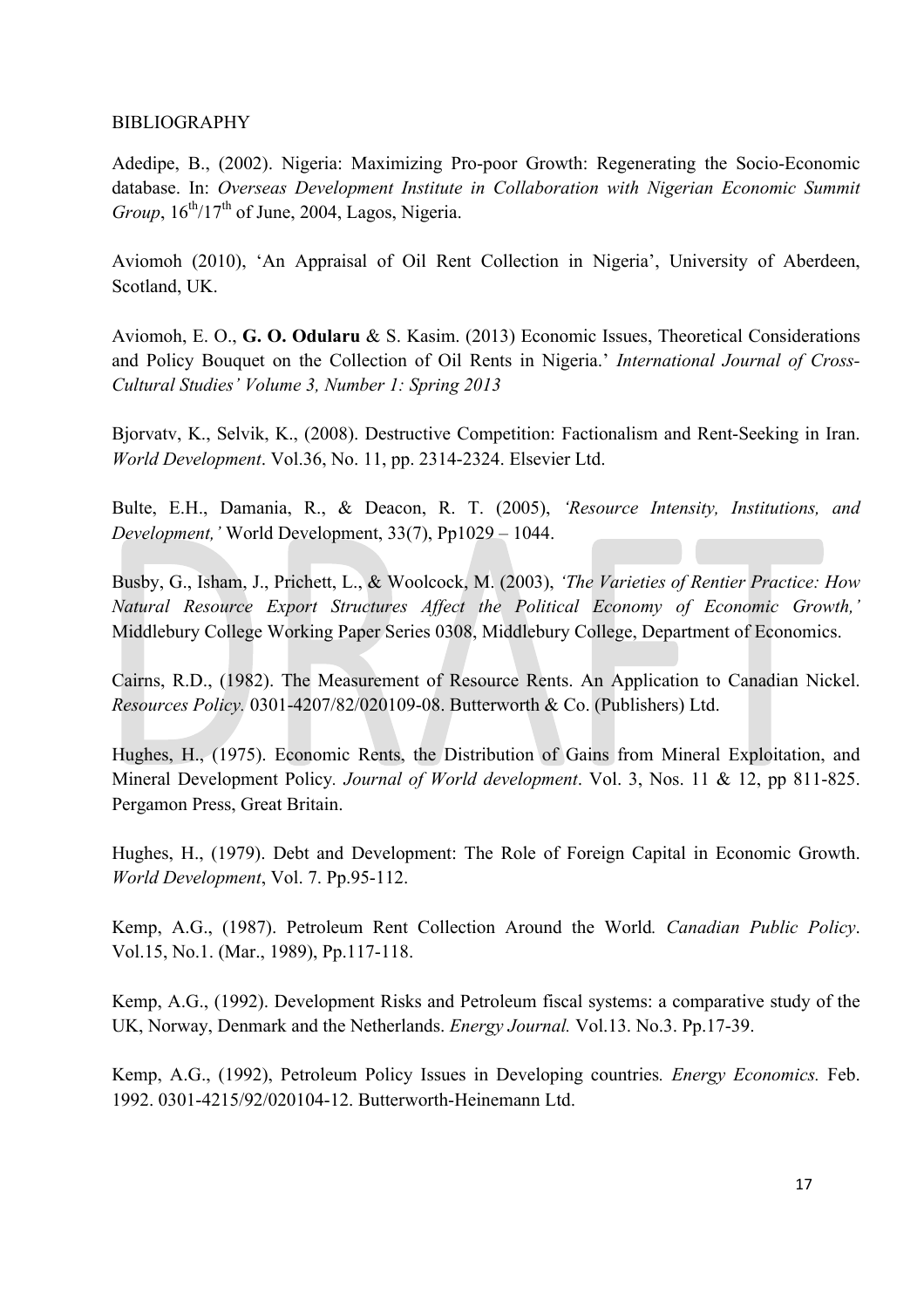### BIBLIOGRAPHY

Adedipe, B., (2002). Nigeria: Maximizing Pro-poor Growth: Regenerating the Socio-Economic database. In: *Overseas Development Institute in Collaboration with Nigerian Economic Summit Group*,  $16^{th}/17^{th}$  of June, 2004, Lagos, Nigeria.

Aviomoh (2010), 'An Appraisal of Oil Rent Collection in Nigeria', University of Aberdeen, Scotland, UK.

Aviomoh, E. O., **G. O. Odularu** & S. Kasim. (2013) Economic Issues, Theoretical Considerations and Policy Bouquet on the Collection of Oil Rents in Nigeria.' *International Journal of Cross-Cultural Studies' Volume 3, Number 1: Spring 2013*

Bjorvatv, K., Selvik, K., (2008). Destructive Competition: Factionalism and Rent-Seeking in Iran. *World Development*. Vol.36, No. 11, pp. 2314-2324. Elsevier Ltd.

Bulte, E.H., Damania, R., & Deacon, R. T. (2005), *'Resource Intensity, Institutions, and Development,'* World Development, 33(7), Pp1029 – 1044.

Busby, G., Isham, J., Prichett, L., & Woolcock, M. (2003), *'The Varieties of Rentier Practice: How Natural Resource Export Structures Affect the Political Economy of Economic Growth,'*  Middlebury College Working Paper Series 0308, Middlebury College, Department of Economics.

Cairns, R.D., (1982). The Measurement of Resource Rents. An Application to Canadian Nickel. *Resources Policy.* 0301-4207/82/020109-08. Butterworth & Co. (Publishers) Ltd.

Hughes, H., (1975). Economic Rents, the Distribution of Gains from Mineral Exploitation, and Mineral Development Policy*. Journal of World development*. Vol. 3, Nos. 11 & 12, pp 811-825. Pergamon Press, Great Britain.

Hughes, H., (1979). Debt and Development: The Role of Foreign Capital in Economic Growth. *World Development*, Vol. 7. Pp.95-112.

Kemp, A.G., (1987). Petroleum Rent Collection Around the World*. Canadian Public Policy*. Vol.15, No.1. (Mar., 1989), Pp.117-118.

Kemp, A.G., (1992). Development Risks and Petroleum fiscal systems: a comparative study of the UK, Norway, Denmark and the Netherlands. *Energy Journal.* Vol.13. No.3. Pp.17-39.

Kemp, A.G., (1992), Petroleum Policy Issues in Developing countries*. Energy Economics.* Feb. 1992. 0301-4215/92/020104-12. Butterworth-Heinemann Ltd.